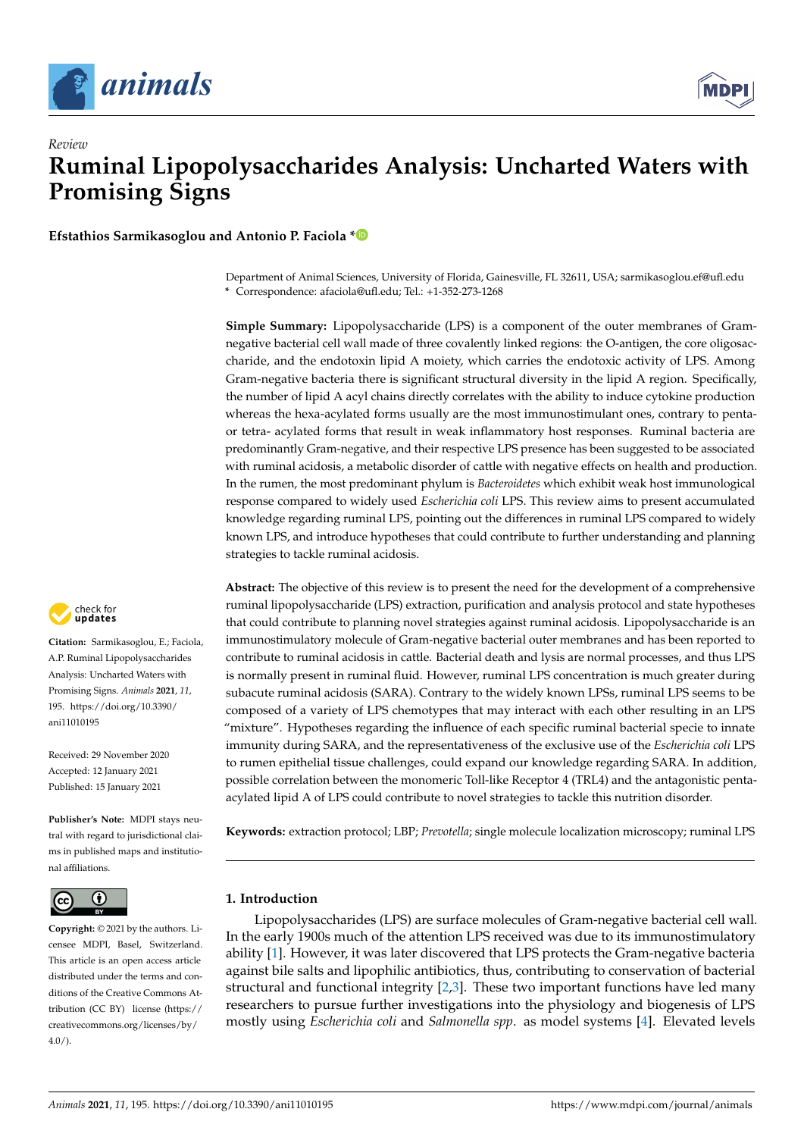



**Efstathios Sarmikasoglou and Antonio P. Faciola [\\*](https://orcid.org/0000-0003-0935-6233)**

Department of Animal Sciences, University of Florida, Gainesville, FL 32611, USA; sarmikasoglou.ef@ufl.edu **\*** Correspondence: afaciola@ufl.edu; Tel.: +1-352-273-1268

**Simple Summary:** Lipopolysaccharide (LPS) is a component of the outer membranes of Gramnegative bacterial cell wall made of three covalently linked regions: the O-antigen, the core oligosaccharide, and the endotoxin lipid A moiety, which carries the endotoxic activity of LPS. Among Gram-negative bacteria there is significant structural diversity in the lipid A region. Specifically, the number of lipid A acyl chains directly correlates with the ability to induce cytokine production whereas the hexa-acylated forms usually are the most immunostimulant ones, contrary to pentaor tetra- acylated forms that result in weak inflammatory host responses. Ruminal bacteria are predominantly Gram-negative, and their respective LPS presence has been suggested to be associated with ruminal acidosis, a metabolic disorder of cattle with negative effects on health and production. In the rumen, the most predominant phylum is *Bacteroidetes* which exhibit weak host immunological response compared to widely used *Escherichia coli* LPS. This review aims to present accumulated knowledge regarding ruminal LPS, pointing out the differences in ruminal LPS compared to widely known LPS, and introduce hypotheses that could contribute to further understanding and planning strategies to tackle ruminal acidosis.

**Abstract:** The objective of this review is to present the need for the development of a comprehensive ruminal lipopolysaccharide (LPS) extraction, purification and analysis protocol and state hypotheses that could contribute to planning novel strategies against ruminal acidosis. Lipopolysaccharide is an immunostimulatory molecule of Gram-negative bacterial outer membranes and has been reported to contribute to ruminal acidosis in cattle. Bacterial death and lysis are normal processes, and thus LPS is normally present in ruminal fluid. However, ruminal LPS concentration is much greater during subacute ruminal acidosis (SARA). Contrary to the widely known LPSs, ruminal LPS seems to be composed of a variety of LPS chemotypes that may interact with each other resulting in an LPS "mixture". Hypotheses regarding the influence of each specific ruminal bacterial specie to innate immunity during SARA, and the representativeness of the exclusive use of the *Escherichia coli* LPS to rumen epithelial tissue challenges, could expand our knowledge regarding SARA. In addition, possible correlation between the monomeric Toll-like Receptor 4 (TRL4) and the antagonistic pentaacylated lipid A of LPS could contribute to novel strategies to tackle this nutrition disorder.

**Keywords:** extraction protocol; LBP; *Prevotella*; single molecule localization microscopy; ruminal LPS

# **1. Introduction**

Lipopolysaccharides (LPS) are surface molecules of Gram-negative bacterial cell wall. In the early 1900s much of the attention LPS received was due to its immunostimulatory ability [\[1\]](#page-6-0). However, it was later discovered that LPS protects the Gram-negative bacteria against bile salts and lipophilic antibiotics, thus, contributing to conservation of bacterial structural and functional integrity [\[2](#page-6-1)[,3\]](#page-6-2). These two important functions have led many researchers to pursue further investigations into the physiology and biogenesis of LPS mostly using *Escherichia coli* and *Salmonella spp*. as model systems [\[4\]](#page-6-3). Elevated levels



**Citation:** Sarmikasoglou, E.; Faciola, A.P. Ruminal Lipopolysaccharides Analysis: Uncharted Waters with Promising Signs. *Animals* **2021**, *11*, 195. [https://doi.org/10.3390/](https://doi.org/10.3390/ani11010195) [ani11010195](https://doi.org/10.3390/ani11010195)

Received: 29 November 2020 Accepted: 12 January 2021 Published: 15 January 2021

**Publisher's Note:** MDPI stays neutral with regard to jurisdictional claims in published maps and institutional affiliations.



**Copyright:** © 2021 by the authors. Licensee MDPI, Basel, Switzerland. This article is an open access article distributed under the terms and conditions of the Creative Commons Attribution (CC BY) license [\(https://](https://creativecommons.org/licenses/by/4.0/) [creativecommons.org/licenses/by/](https://creativecommons.org/licenses/by/4.0/)  $4.0/$ ).

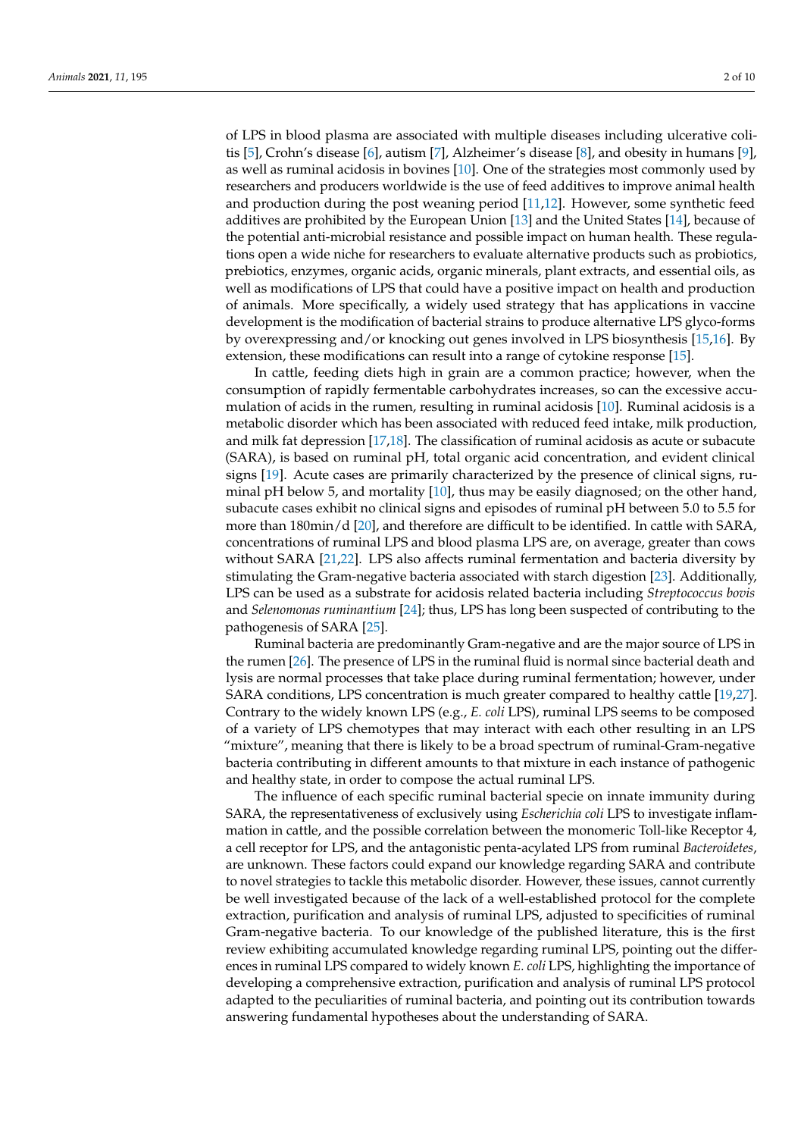of LPS in blood plasma are associated with multiple diseases including ulcerative colitis [\[5\]](#page-6-4), Crohn's disease [\[6\]](#page-6-5), autism [\[7\]](#page-6-6), Alzheimer's disease [\[8\]](#page-6-7), and obesity in humans [\[9\]](#page-6-8), as well as ruminal acidosis in bovines [\[10\]](#page-6-9). One of the strategies most commonly used by researchers and producers worldwide is the use of feed additives to improve animal health and production during the post weaning period [\[11,](#page-6-10)[12\]](#page-6-11). However, some synthetic feed additives are prohibited by the European Union [\[13\]](#page-6-12) and the United States [\[14\]](#page-6-13), because of the potential anti-microbial resistance and possible impact on human health. These regulations open a wide niche for researchers to evaluate alternative products such as probiotics, prebiotics, enzymes, organic acids, organic minerals, plant extracts, and essential oils, as well as modifications of LPS that could have a positive impact on health and production of animals. More specifically, a widely used strategy that has applications in vaccine development is the modification of bacterial strains to produce alternative LPS glyco-forms by overexpressing and/or knocking out genes involved in LPS biosynthesis [\[15](#page-6-14)[,16\]](#page-7-0). By extension, these modifications can result into a range of cytokine response [\[15\]](#page-6-14).

In cattle, feeding diets high in grain are a common practice; however, when the consumption of rapidly fermentable carbohydrates increases, so can the excessive accumulation of acids in the rumen, resulting in ruminal acidosis [\[10\]](#page-6-9). Ruminal acidosis is a metabolic disorder which has been associated with reduced feed intake, milk production, and milk fat depression [\[17](#page-7-1)[,18\]](#page-7-2). The classification of ruminal acidosis as acute or subacute (SARA), is based on ruminal pH, total organic acid concentration, and evident clinical signs [\[19\]](#page-7-3). Acute cases are primarily characterized by the presence of clinical signs, ruminal pH below 5, and mortality [\[10\]](#page-6-9), thus may be easily diagnosed; on the other hand, subacute cases exhibit no clinical signs and episodes of ruminal pH between 5.0 to 5.5 for more than 180min/d [\[20\]](#page-7-4), and therefore are difficult to be identified. In cattle with SARA, concentrations of ruminal LPS and blood plasma LPS are, on average, greater than cows without SARA [\[21](#page-7-5)[,22\]](#page-7-6). LPS also affects ruminal fermentation and bacteria diversity by stimulating the Gram-negative bacteria associated with starch digestion [\[23\]](#page-7-7). Additionally, LPS can be used as a substrate for acidosis related bacteria including *Streptococcus bovis* and *Selenomonas ruminantium* [\[24\]](#page-7-8); thus, LPS has long been suspected of contributing to the pathogenesis of SARA [\[25\]](#page-7-9).

Ruminal bacteria are predominantly Gram-negative and are the major source of LPS in the rumen [\[26\]](#page-7-10). The presence of LPS in the ruminal fluid is normal since bacterial death and lysis are normal processes that take place during ruminal fermentation; however, under SARA conditions, LPS concentration is much greater compared to healthy cattle [\[19,](#page-7-3)[27\]](#page-7-11). Contrary to the widely known LPS (e.g., *E. coli* LPS), ruminal LPS seems to be composed of a variety of LPS chemotypes that may interact with each other resulting in an LPS "mixture", meaning that there is likely to be a broad spectrum of ruminal-Gram-negative bacteria contributing in different amounts to that mixture in each instance of pathogenic and healthy state, in order to compose the actual ruminal LPS.

The influence of each specific ruminal bacterial specie on innate immunity during SARA, the representativeness of exclusively using *Escherichia coli* LPS to investigate inflammation in cattle, and the possible correlation between the monomeric Toll-like Receptor 4, a cell receptor for LPS, and the antagonistic penta-acylated LPS from ruminal *Bacteroidetes*, are unknown. These factors could expand our knowledge regarding SARA and contribute to novel strategies to tackle this metabolic disorder. However, these issues, cannot currently be well investigated because of the lack of a well-established protocol for the complete extraction, purification and analysis of ruminal LPS, adjusted to specificities of ruminal Gram-negative bacteria. To our knowledge of the published literature, this is the first review exhibiting accumulated knowledge regarding ruminal LPS, pointing out the differences in ruminal LPS compared to widely known *E. coli* LPS, highlighting the importance of developing a comprehensive extraction, purification and analysis of ruminal LPS protocol adapted to the peculiarities of ruminal bacteria, and pointing out its contribution towards answering fundamental hypotheses about the understanding of SARA.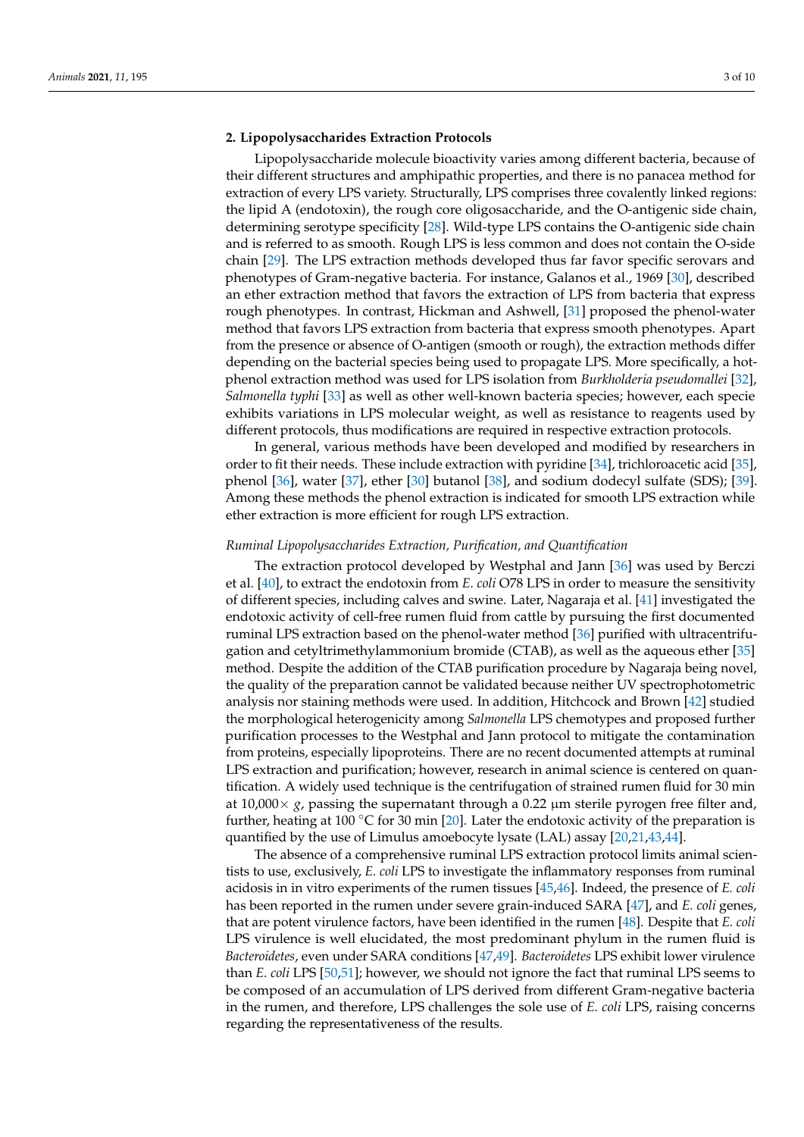## **2. Lipopolysaccharides Extraction Protocols**

Lipopolysaccharide molecule bioactivity varies among different bacteria, because of their different structures and amphipathic properties, and there is no panacea method for extraction of every LPS variety. Structurally, LPS comprises three covalently linked regions: the lipid A (endotoxin), the rough core oligosaccharide, and the O-antigenic side chain, determining serotype specificity [\[28\]](#page-7-12). Wild-type LPS contains the O-antigenic side chain and is referred to as smooth. Rough LPS is less common and does not contain the O-side chain [\[29\]](#page-7-13). The LPS extraction methods developed thus far favor specific serovars and phenotypes of Gram-negative bacteria. For instance, Galanos et al., 1969 [\[30\]](#page-7-14), described an ether extraction method that favors the extraction of LPS from bacteria that express rough phenotypes. In contrast, Hickman and Ashwell, [\[31\]](#page-7-15) proposed the phenol-water method that favors LPS extraction from bacteria that express smooth phenotypes. Apart from the presence or absence of O-antigen (smooth or rough), the extraction methods differ depending on the bacterial species being used to propagate LPS. More specifically, a hotphenol extraction method was used for LPS isolation from *Burkholderia pseudomallei* [\[32\]](#page-7-16), *Salmonella typhi* [\[33\]](#page-7-17) as well as other well-known bacteria species; however, each specie exhibits variations in LPS molecular weight, as well as resistance to reagents used by different protocols, thus modifications are required in respective extraction protocols.

In general, various methods have been developed and modified by researchers in order to fit their needs. These include extraction with pyridine [\[34\]](#page-7-18), trichloroacetic acid [\[35\]](#page-7-19), phenol [\[36\]](#page-7-20), water [\[37\]](#page-7-21), ether [\[30\]](#page-7-14) butanol [\[38\]](#page-7-22), and sodium dodecyl sulfate (SDS); [\[39\]](#page-7-23). Among these methods the phenol extraction is indicated for smooth LPS extraction while ether extraction is more efficient for rough LPS extraction.

#### *Ruminal Lipopolysaccharides Extraction, Purification, and Quantification*

The extraction protocol developed by Westphal and Jann [\[36\]](#page-7-20) was used by Berczi et al. [\[40\]](#page-7-24), to extract the endotoxin from *E. coli* O78 LPS in order to measure the sensitivity of different species, including calves and swine. Later, Nagaraja et al. [\[41\]](#page-7-25) investigated the endotoxic activity of cell-free rumen fluid from cattle by pursuing the first documented ruminal LPS extraction based on the phenol-water method [\[36\]](#page-7-20) purified with ultracentrifugation and cetyltrimethylammonium bromide (CTAB), as well as the aqueous ether [\[35\]](#page-7-19) method. Despite the addition of the CTAB purification procedure by Nagaraja being novel, the quality of the preparation cannot be validated because neither UV spectrophotometric analysis nor staining methods were used. In addition, Hitchcock and Brown [\[42\]](#page-7-26) studied the morphological heterogenicity among *Salmonella* LPS chemotypes and proposed further purification processes to the Westphal and Jann protocol to mitigate the contamination from proteins, especially lipoproteins. There are no recent documented attempts at ruminal LPS extraction and purification; however, research in animal science is centered on quantification. A widely used technique is the centrifugation of strained rumen fluid for 30 min at  $10,000 \times g$ , passing the supernatant through a 0.22  $\mu$ m sterile pyrogen free filter and, further, heating at 100 °C for 30 min [\[20\]](#page-7-4). Later the endotoxic activity of the preparation is quantified by the use of Limulus amoebocyte lysate (LAL) assay [\[20,](#page-7-4)[21,](#page-7-5)[43,](#page-7-27)[44\]](#page-7-28).

The absence of a comprehensive ruminal LPS extraction protocol limits animal scientists to use, exclusively, *E. coli* LPS to investigate the inflammatory responses from ruminal acidosis in in vitro experiments of the rumen tissues [\[45](#page-8-0)[,46\]](#page-8-1). Indeed, the presence of *E. coli* has been reported in the rumen under severe grain-induced SARA [\[47\]](#page-8-2), and *E. coli* genes, that are potent virulence factors, have been identified in the rumen [\[48\]](#page-8-3). Despite that *E. coli* LPS virulence is well elucidated, the most predominant phylum in the rumen fluid is *Bacteroidetes*, even under SARA conditions [\[47,](#page-8-2)[49\]](#page-8-4). *Bacteroidetes* LPS exhibit lower virulence than *E. coli* LPS [\[50,](#page-8-5)[51\]](#page-8-6); however, we should not ignore the fact that ruminal LPS seems to be composed of an accumulation of LPS derived from different Gram-negative bacteria in the rumen, and therefore, LPS challenges the sole use of *E. coli* LPS, raising concerns regarding the representativeness of the results.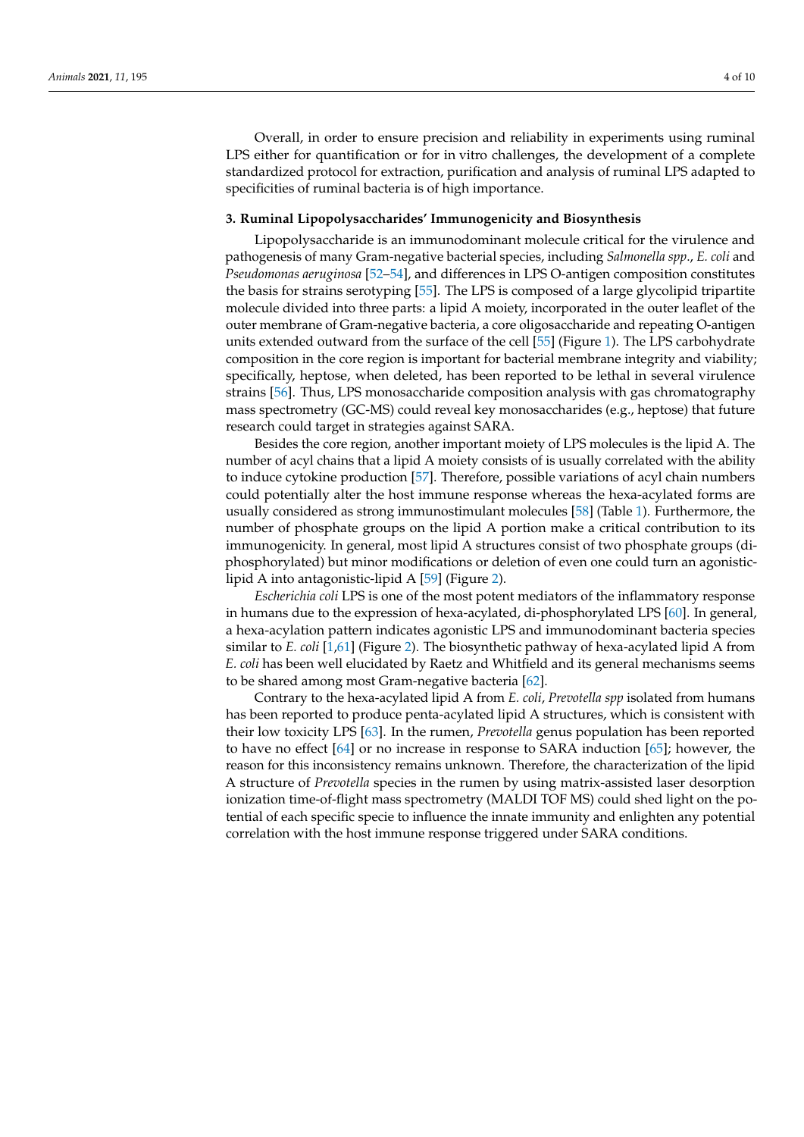Overall, in order to ensure precision and reliability in experiments using ruminal LPS either for quantification or for in vitro challenges, the development of a complete standardized protocol for extraction, purification and analysis of ruminal LPS adapted to specificities of ruminal bacteria is of high importance.

### **3. Ruminal Lipopolysaccharides' Immunogenicity and Biosynthesis**

Lipopolysaccharide is an immunodominant molecule critical for the virulence and pathogenesis of many Gram-negative bacterial species, including *Salmonella spp*., *E. coli* and *Pseudomonas aeruginosa* [\[52–](#page-8-7)[54\]](#page-8-8), and differences in LPS O-antigen composition constitutes the basis for strains serotyping [\[55\]](#page-8-9). The LPS is composed of a large glycolipid tripartite molecule divided into three parts: a lipid A moiety, incorporated in the outer leaflet of the outer membrane of Gram-negative bacteria, a core oligosaccharide and repeating O-antigen units extended outward from the surface of the cell [\[55\]](#page-8-9) (Figure [1\)](#page-4-0). The LPS carbohydrate composition in the core region is important for bacterial membrane integrity and viability; specifically, heptose, when deleted, has been reported to be lethal in several virulence strains [\[56\]](#page-8-10). Thus, LPS monosaccharide composition analysis with gas chromatography mass spectrometry (GC-MS) could reveal key monosaccharides (e.g., heptose) that future research could target in strategies against SARA.

Besides the core region, another important moiety of LPS molecules is the lipid A. The number of acyl chains that a lipid A moiety consists of is usually correlated with the ability to induce cytokine production [\[57\]](#page-8-11). Therefore, possible variations of acyl chain numbers could potentially alter the host immune response whereas the hexa-acylated forms are usually considered as strong immunostimulant molecules [\[58\]](#page-8-12) (Table [1\)](#page-4-1). Furthermore, the number of phosphate groups on the lipid A portion make a critical contribution to its immunogenicity. In general, most lipid A structures consist of two phosphate groups (diphosphorylated) but minor modifications or deletion of even one could turn an agonisticlipid A into antagonistic-lipid A [\[59\]](#page-8-13) (Figure [2\)](#page-5-0).

*Escherichia coli* LPS is one of the most potent mediators of the inflammatory response in humans due to the expression of hexa-acylated, di-phosphorylated LPS [\[60\]](#page-8-14). In general, a hexa-acylation pattern indicates agonistic LPS and immunodominant bacteria species similar to *E. coli* [\[1](#page-6-0)[,61\]](#page-8-15) (Figure [2\)](#page-5-0). The biosynthetic pathway of hexa-acylated lipid A from *E. coli* has been well elucidated by Raetz and Whitfield and its general mechanisms seems to be shared among most Gram-negative bacteria [\[62\]](#page-8-16).

Contrary to the hexa-acylated lipid A from *E. coli*, *Prevotella spp* isolated from humans has been reported to produce penta-acylated lipid A structures, which is consistent with their low toxicity LPS [\[63\]](#page-8-17). In the rumen, *Prevotella* genus population has been reported to have no effect [\[64\]](#page-8-18) or no increase in response to SARA induction [\[65\]](#page-8-19); however, the reason for this inconsistency remains unknown. Therefore, the characterization of the lipid A structure of *Prevotella* species in the rumen by using matrix-assisted laser desorption ionization time-of-flight mass spectrometry (MALDI TOF MS) could shed light on the potential of each specific specie to influence the innate immunity and enlighten any potential correlation with the host immune response triggered under SARA conditions.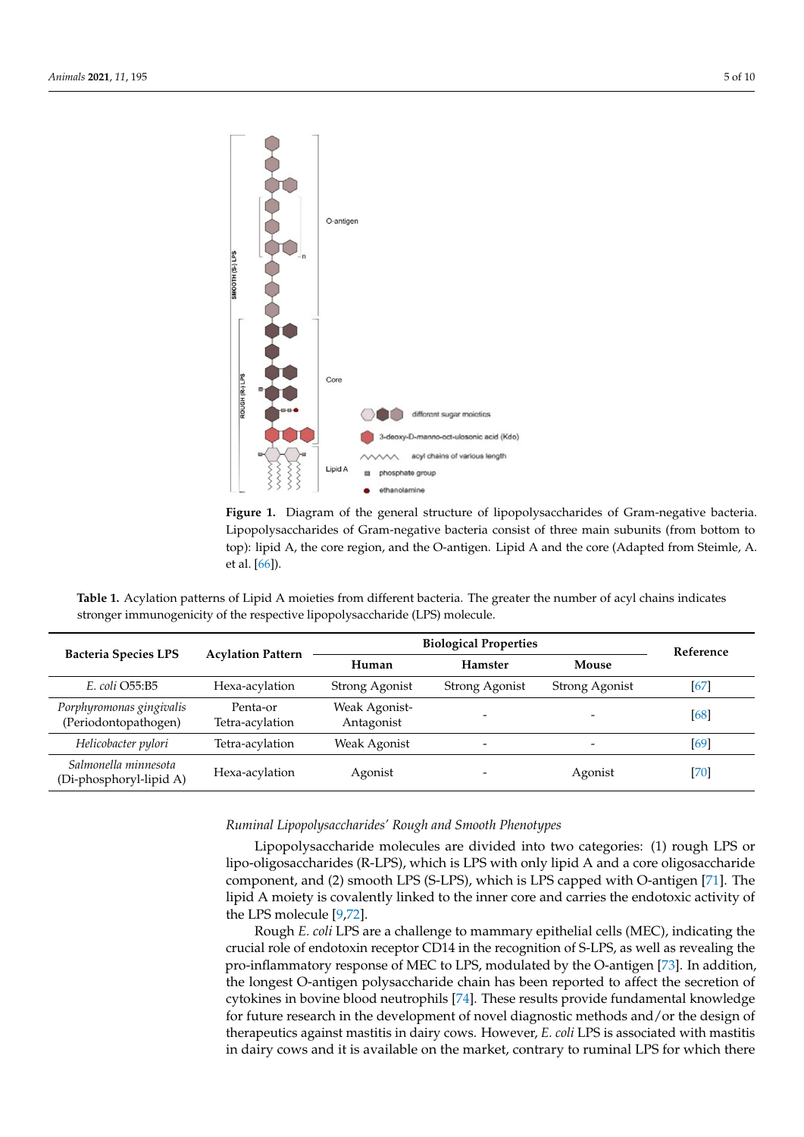<span id="page-4-0"></span>

**Figure 1.** Diagram of the general structure of lipopolysaccharides of Gram-negative bacteria. Lipopolysaccharides of Gram-negative bacteria consist of three main subunits (from bottom to top): lipid A, the core region, and the O-antigen. Lipid A and the core (Adapted from Steimle, A. et al. [\[66\]](#page-8-20)).

<span id="page-4-1"></span>**Table 1.** Acylation patterns of Lipid A moieties from different bacteria. The greater the number of acyl chains indicates **Bacheric immunogenicity of the respective lipopolysaccharide (LPS) molecule.**<br> **Bicheric in Line 1996** 

| <b>Bacteria Species LPS</b>                      | <b>Acylation Pattern</b>    | <b>Biological Properties</b> |                |                | Reference |
|--------------------------------------------------|-----------------------------|------------------------------|----------------|----------------|-----------|
|                                                  |                             | Human                        | <b>Hamster</b> | Mouse          |           |
| E. coli O55:B5                                   | Hexa-acylation              | Strong Agonist               | Strong Agonist | Strong Agonist | $[67]$    |
| Porphyromonas gingivalis<br>(Periodontopathogen) | Penta-or<br>Tetra-acylation | Weak Agonist-<br>Antagonist  |                |                | [68]      |
| Helicobacter pylori                              | Tetra-acylation             | Weak Agonist                 |                |                | [69]      |
| Salmonella minnesota<br>(Di-phosphoryl-lipid A)  | Hexa-acylation              | Agonist                      |                | Agonist        | [70]      |

*Ruminal Lipopolysaccharides' Rough and Smooth Phenotypes*

Lipopolysaccharide molecules are divided into two categories: (1) rough LPS or lipo-oligosaccharides (R-LPS), which is LPS with only lipid A and a core oligosaccharide component, and (2) smooth LPS (S-LPS), which is LPS capped with O-antigen [\[71\]](#page-8-25). The lipid A moiety is covalently linked to the inner core and carries the endotoxic activity of the LPS molecule [\[9,](#page-6-8)[72\]](#page-8-26).

Rough *E. coli* LPS are a challenge to mammary epithelial cells (MEC), indicating the crucial role of endotoxin receptor CD14 in the recognition of S-LPS, as well as revealing the pro-inflammatory response of MEC to LPS, modulated by the O-antigen [\[73\]](#page-9-0). In addition, the longest O-antigen polysaccharide chain has been reported to affect the secretion of cytokines in bovine blood neutrophils [\[74\]](#page-9-1). These results provide fundamental knowledge for future research in the development of novel diagnostic methods and/or the design of therapeutics against mastitis in dairy cows. However, *E. coli* LPS is associated with mastitis in dairy cows and it is available on the market, contrary to ruminal LPS for which there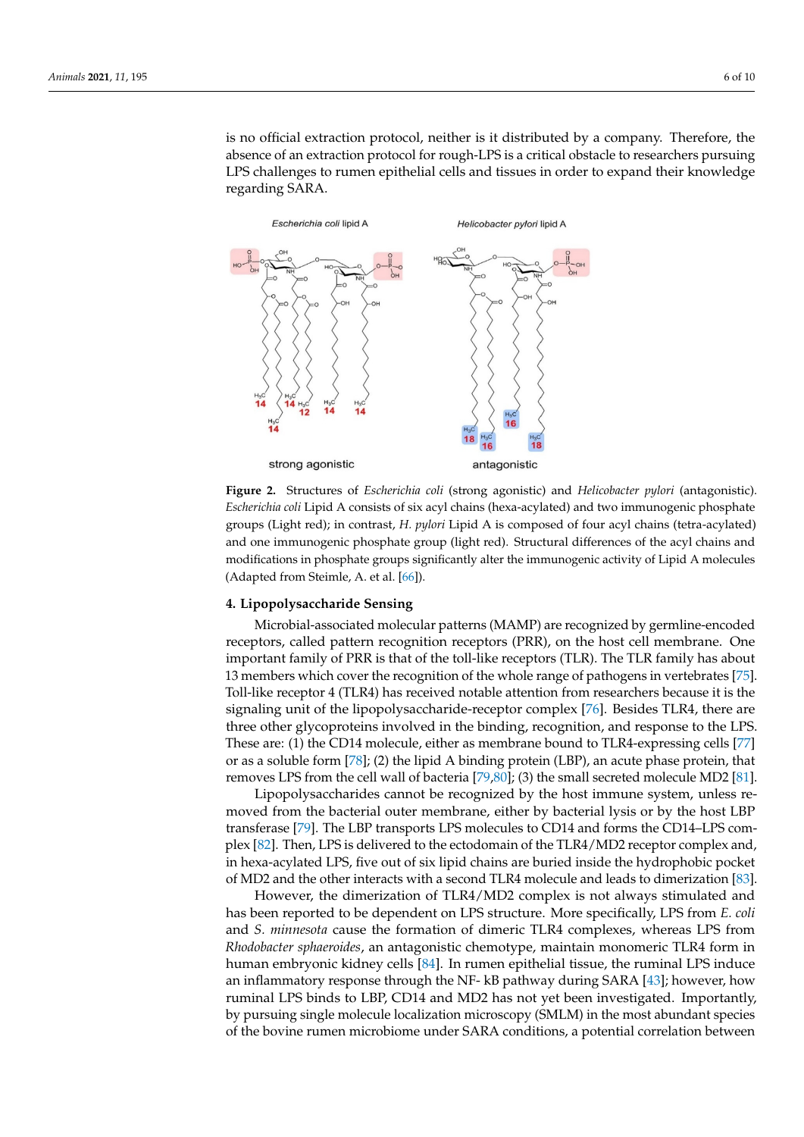is no official extraction protocol, neither is it distributed by a company. Therefore, the absence of an extraction protocol for rough-LPS is a critical obstacle to researchers pursuing LPS challenges to rumen epithelial cells and tissues in order to expand their knowledge regarding SARA.

<span id="page-5-0"></span>

Escherichia coli Lipid A consists of six acyl chains (hexa-acylated) and two immunogenic phosphate groups (Light red); in contrast, *H. pylori* Lipid A is composed of four acyl chains (tetra-acylated) and one immunogenic phosphate group (light red). Structural differences of the acyl chains and modifications in phosphate groups significantly alter the immunogenic activity of Lipid A molecules  $\Lambda$  dented from Steinle  $\Lambda$  at al  $[66]$ (Adapted from Steimle, A. et al. [66]). (Adapted from Steimle, A. et al. [\[66\]](#page-8-20)). **Figure 2.** Structures of *Escherichia coli* (strong agonistic) and *Helicobacter pylori* (antagonistic).

#### **4. Lipopolysaccharide Sensing**

*Ruminal Lipopolysaccharides' Rough and Smooth Phenotypes*  Microbial-associated molecular patterns (MAMP) are recognized by germline-encoded receptors, called pattern recognition receptors (PRR), on the host cell membrane. One important family of PRR is that of the toll-like receptors (TLR). The TLR family has about 13 members which cover the recognition of the whole range of pathogens in vertebrates [75]. Toll-like receptor 4 (TLR4) has received notable attention from researchers because it is the signaling unit of the lipopolysaccharide-receptor complex [\[76\]](#page-9-3). Besides TLR4, there are three other glycoproteins involved in the binding, recognition, and response to the LPS. These are: (1) the CD14 molecule, either as membrane bound to TLR4-expressing cells [77] or as a soluble form [78]; (2) the lipid A binding protein (LBP), an acute phase protein, that removes LPS from the cell wall of bacteria [\[79,](#page-9-6)[80\]](#page-9-7); (3) the small secreted molecule MD2 [\[81\]](#page-9-8).

Lipopolysaccharides cannot be recognized by the host immune system, unless removed from the bacterial outer membrane, either by bacterial lysis or by the host LBP transferase [\[79\]](#page-9-6). The LBP transports LPS molecules to CD14 and forms the CD14–LPS com-plex [\[82\]](#page-9-9). Then, LPS is delivered to the ectodomain of the TLR4/MD2 receptor complex and, in hexa-acylated LPS, five out of six lipid chains are buried inside the hydrophobic pocket of MD2 and the other interacts with a second TLR4 molecule and leads to dimerization [\[83\]](#page-9-10).

However, the dimerization of TLR4/MD2 complex is not always stimulated and has been reported to be dependent on LPS structure. More specifically, LPS from *E. coli* **4. Lipopolysaccharide Sensing**  *Rhodobacter sphaeroides*, an antagonistic chemotype, maintain monomeric TLR4 form in human embryonic kidney cells [\[84\]](#page-9-11). In rumen epithelial tissue, the ruminal LPS induce<br>coning to german the recognized by the NF-1P is the recognized by A L421 houseweek the an imaliant receptors, calculate the recognition recognition recognition recognition recognition requires to the host cell member of recognition requires the member of recognition recognition recognition. Importantly, Further family that of Praces to Press, CDT4 and MD2 has not yet been investigated. Importantly, by pursuing single molecule localization microscopy (SMLM) in the most abundant species  $\alpha$  members which cover the recognition of the recognition of  $\alpha$  range of  $\alpha$  range of  $\alpha$  range of  $\alpha$  range of  $\alpha$  range of  $\alpha$  range of  $\alpha$  range of  $\alpha$  range of  $\alpha$  range of  $\alpha$  range of  $\alpha$  range of  $\alpha$ of the bovine rumen microbiome under SARA conditions, a potential correlation between and *S. minnesota* cause the formation of dimeric TLR4 complexes, whereas LPS from an inflammatory response through the NF- kB pathway during SARA [\[43\]](#page-7-27); however, how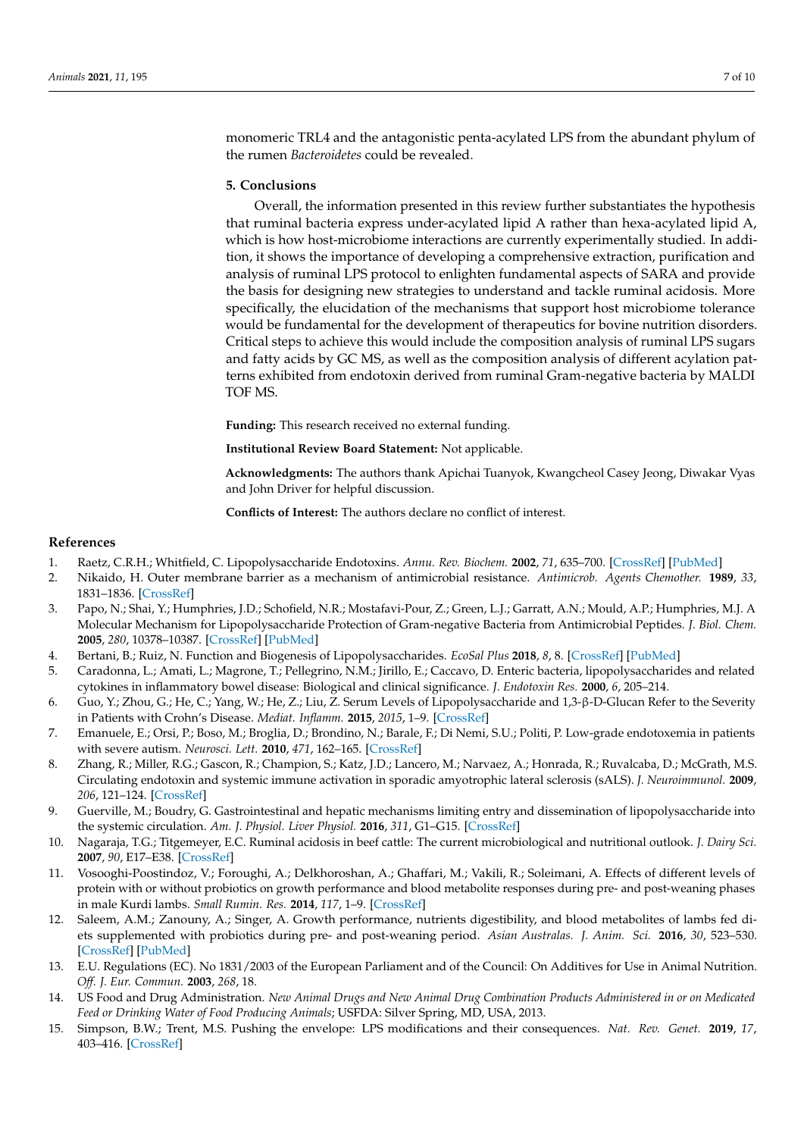monomeric TRL4 and the antagonistic penta-acylated LPS from the abundant phylum of the rumen *Bacteroidetes* could be revealed.

## **5. Conclusions**

Overall, the information presented in this review further substantiates the hypothesis that ruminal bacteria express under-acylated lipid A rather than hexa-acylated lipid A, which is how host-microbiome interactions are currently experimentally studied. In addition, it shows the importance of developing a comprehensive extraction, purification and analysis of ruminal LPS protocol to enlighten fundamental aspects of SARA and provide the basis for designing new strategies to understand and tackle ruminal acidosis. More specifically, the elucidation of the mechanisms that support host microbiome tolerance would be fundamental for the development of therapeutics for bovine nutrition disorders. Critical steps to achieve this would include the composition analysis of ruminal LPS sugars and fatty acids by GC MS, as well as the composition analysis of different acylation patterns exhibited from endotoxin derived from ruminal Gram-negative bacteria by MALDI TOF MS.

**Funding:** This research received no external funding.

**Institutional Review Board Statement:** Not applicable.

**Acknowledgments:** The authors thank Apichai Tuanyok, Kwangcheol Casey Jeong, Diwakar Vyas and John Driver for helpful discussion.

**Conflicts of Interest:** The authors declare no conflict of interest.

#### **References**

- <span id="page-6-0"></span>1. Raetz, C.R.H.; Whitfield, C. Lipopolysaccharide Endotoxins. *Annu. Rev. Biochem.* **2002**, *71*, 635–700. [\[CrossRef\]](http://doi.org/10.1146/annurev.biochem.71.110601.135414) [\[PubMed\]](http://www.ncbi.nlm.nih.gov/pubmed/12045108)
- <span id="page-6-1"></span>2. Nikaido, H. Outer membrane barrier as a mechanism of antimicrobial resistance. *Antimicrob. Agents Chemother.* **1989**, *33*, 1831–1836. [\[CrossRef\]](http://doi.org/10.1128/AAC.33.11.1831)
- <span id="page-6-2"></span>3. Papo, N.; Shai, Y.; Humphries, J.D.; Schofield, N.R.; Mostafavi-Pour, Z.; Green, L.J.; Garratt, A.N.; Mould, A.P.; Humphries, M.J. A Molecular Mechanism for Lipopolysaccharide Protection of Gram-negative Bacteria from Antimicrobial Peptides. *J. Biol. Chem.* **2005**, *280*, 10378–10387. [\[CrossRef\]](http://doi.org/10.1074/jbc.M412865200) [\[PubMed\]](http://www.ncbi.nlm.nih.gov/pubmed/15632151)
- <span id="page-6-3"></span>4. Bertani, B.; Ruiz, N. Function and Biogenesis of Lipopolysaccharides. *EcoSal Plus* **2018**, *8*, 8. [\[CrossRef\]](http://doi.org/10.1128/ecosalplus.ESP-0001-2018) [\[PubMed\]](http://www.ncbi.nlm.nih.gov/pubmed/30066669)
- <span id="page-6-4"></span>5. Caradonna, L.; Amati, L.; Magrone, T.; Pellegrino, N.M.; Jirillo, E.; Caccavo, D. Enteric bacteria, lipopolysaccharides and related cytokines in inflammatory bowel disease: Biological and clinical significance. *J. Endotoxin Res.* **2000**, *6*, 205–214.
- <span id="page-6-5"></span>6. Guo, Y.; Zhou, G.; He, C.; Yang, W.; He, Z.; Liu, Z. Serum Levels of Lipopolysaccharide and 1,3-β-D-Glucan Refer to the Severity in Patients with Crohn's Disease. *Mediat. Inflamm.* **2015**, *2015*, 1–9. [\[CrossRef\]](http://doi.org/10.1155/2015/843089)
- <span id="page-6-6"></span>7. Emanuele, E.; Orsi, P.; Boso, M.; Broglia, D.; Brondino, N.; Barale, F.; Di Nemi, S.U.; Politi, P. Low-grade endotoxemia in patients with severe autism. *Neurosci. Lett.* **2010**, *471*, 162–165. [\[CrossRef\]](http://doi.org/10.1016/j.neulet.2010.01.033)
- <span id="page-6-7"></span>8. Zhang, R.; Miller, R.G.; Gascon, R.; Champion, S.; Katz, J.D.; Lancero, M.; Narvaez, A.; Honrada, R.; Ruvalcaba, D.; McGrath, M.S. Circulating endotoxin and systemic immune activation in sporadic amyotrophic lateral sclerosis (sALS). *J. Neuroimmunol.* **2009**, *206*, 121–124. [\[CrossRef\]](http://doi.org/10.1016/j.jneuroim.2008.09.017)
- <span id="page-6-8"></span>9. Guerville, M.; Boudry, G. Gastrointestinal and hepatic mechanisms limiting entry and dissemination of lipopolysaccharide into the systemic circulation. *Am. J. Physiol. Liver Physiol.* **2016**, *311*, G1–G15. [\[CrossRef\]](http://doi.org/10.1152/ajpgi.00098.2016)
- <span id="page-6-9"></span>10. Nagaraja, T.G.; Titgemeyer, E.C. Ruminal acidosis in beef cattle: The current microbiological and nutritional outlook. *J. Dairy Sci.* **2007**, *90*, E17–E38. [\[CrossRef\]](http://doi.org/10.3168/jds.2006-478)
- <span id="page-6-10"></span>11. Vosooghi-Poostindoz, V.; Foroughi, A.; Delkhoroshan, A.; Ghaffari, M.; Vakili, R.; Soleimani, A. Effects of different levels of protein with or without probiotics on growth performance and blood metabolite responses during pre- and post-weaning phases in male Kurdi lambs. *Small Rumin. Res.* **2014**, *117*, 1–9. [\[CrossRef\]](http://doi.org/10.1016/j.smallrumres.2013.11.015)
- <span id="page-6-11"></span>12. Saleem, A.M.; Zanouny, A.; Singer, A. Growth performance, nutrients digestibility, and blood metabolites of lambs fed diets supplemented with probiotics during pre- and post-weaning period. *Asian Australas. J. Anim. Sci.* **2016**, *30*, 523–530. [\[CrossRef\]](http://doi.org/10.5713/ajas.16.0691) [\[PubMed\]](http://www.ncbi.nlm.nih.gov/pubmed/28002935)
- <span id="page-6-12"></span>13. E.U. Regulations (EC). No 1831/2003 of the European Parliament and of the Council: On Additives for Use in Animal Nutrition. *Off. J. Eur. Commun.* **2003**, *268*, 18.
- <span id="page-6-13"></span>14. US Food and Drug Administration. *New Animal Drugs and New Animal Drug Combination Products Administered in or on Medicated Feed or Drinking Water of Food Producing Animals*; USFDA: Silver Spring, MD, USA, 2013.
- <span id="page-6-14"></span>15. Simpson, B.W.; Trent, M.S. Pushing the envelope: LPS modifications and their consequences. *Nat. Rev. Genet.* **2019**, *17*, 403–416. [\[CrossRef\]](http://doi.org/10.1038/s41579-019-0201-x)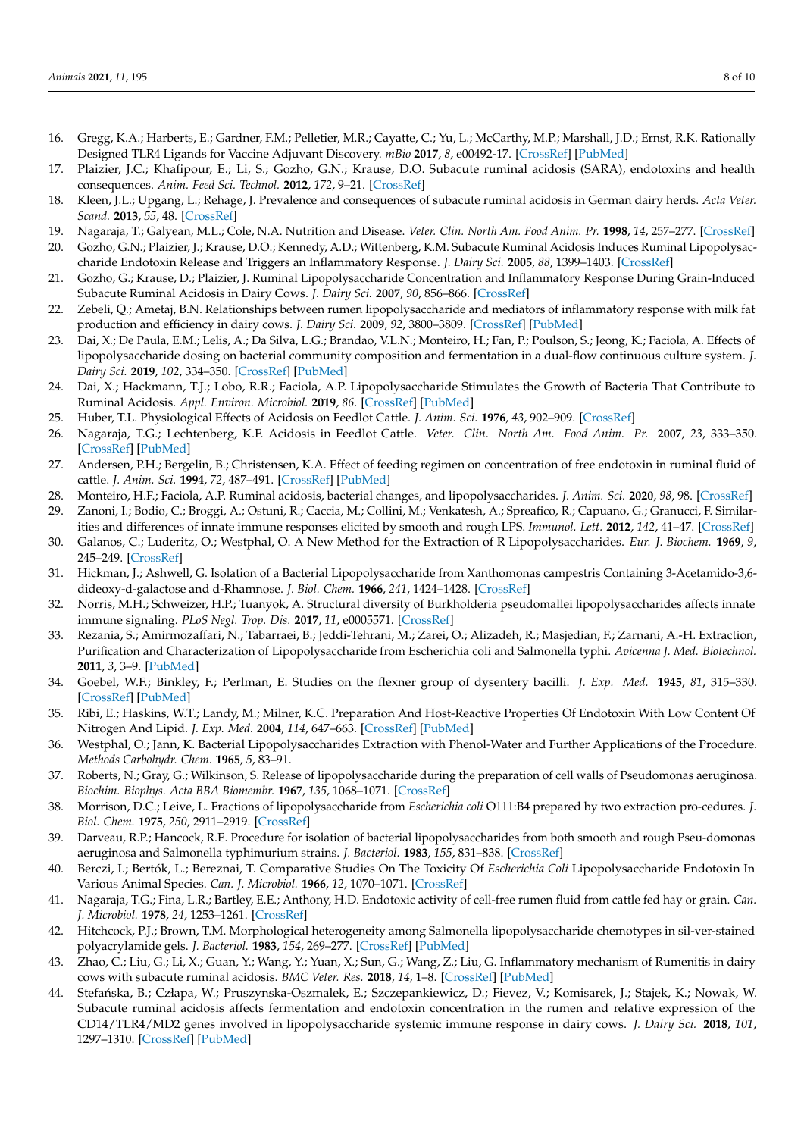- <span id="page-7-0"></span>16. Gregg, K.A.; Harberts, E.; Gardner, F.M.; Pelletier, M.R.; Cayatte, C.; Yu, L.; McCarthy, M.P.; Marshall, J.D.; Ernst, R.K. Rationally Designed TLR4 Ligands for Vaccine Adjuvant Discovery. *mBio* **2017**, *8*, e00492-17. [\[CrossRef\]](http://doi.org/10.1128/mBio.00492-17) [\[PubMed\]](http://www.ncbi.nlm.nih.gov/pubmed/28487429)
- <span id="page-7-1"></span>17. Plaizier, J.C.; Khafipour, E.; Li, S.; Gozho, G.N.; Krause, D.O. Subacute ruminal acidosis (SARA), endotoxins and health consequences. *Anim. Feed Sci. Technol.* **2012**, *172*, 9–21. [\[CrossRef\]](http://doi.org/10.1016/j.anifeedsci.2011.12.004)
- <span id="page-7-2"></span>18. Kleen, J.L.; Upgang, L.; Rehage, J. Prevalence and consequences of subacute ruminal acidosis in German dairy herds. *Acta Veter. Scand.* **2013**, *55*, 48. [\[CrossRef\]](http://doi.org/10.1186/1751-0147-55-48)
- <span id="page-7-3"></span>19. Nagaraja, T.; Galyean, M.L.; Cole, N.A. Nutrition and Disease. *Veter. Clin. North Am. Food Anim. Pr.* **1998**, *14*, 257–277. [\[CrossRef\]](http://doi.org/10.1016/S0749-0720(15)30253-X)
- <span id="page-7-4"></span>20. Gozho, G.N.; Plaizier, J.; Krause, D.O.; Kennedy, A.D.; Wittenberg, K.M. Subacute Ruminal Acidosis Induces Ruminal Lipopolysaccharide Endotoxin Release and Triggers an Inflammatory Response. *J. Dairy Sci.* **2005**, *88*, 1399–1403. [\[CrossRef\]](http://doi.org/10.3168/jds.S0022-0302(05)72807-1)
- <span id="page-7-5"></span>21. Gozho, G.; Krause, D.; Plaizier, J. Ruminal Lipopolysaccharide Concentration and Inflammatory Response During Grain-Induced Subacute Ruminal Acidosis in Dairy Cows. *J. Dairy Sci.* **2007**, *90*, 856–866. [\[CrossRef\]](http://doi.org/10.3168/jds.S0022-0302(07)71569-2)
- <span id="page-7-6"></span>22. Zebeli, Q.; Ametaj, B.N. Relationships between rumen lipopolysaccharide and mediators of inflammatory response with milk fat production and efficiency in dairy cows. *J. Dairy Sci.* **2009**, *92*, 3800–3809. [\[CrossRef\]](http://doi.org/10.3168/jds.2009-2178) [\[PubMed\]](http://www.ncbi.nlm.nih.gov/pubmed/19620662)
- <span id="page-7-7"></span>23. Dai, X.; De Paula, E.M.; Lelis, A.; Da Silva, L.G.; Brandao, V.L.N.; Monteiro, H.; Fan, P.; Poulson, S.; Jeong, K.; Faciola, A. Effects of lipopolysaccharide dosing on bacterial community composition and fermentation in a dual-flow continuous culture system. *J. Dairy Sci.* **2019**, *102*, 334–350. [\[CrossRef\]](http://doi.org/10.3168/jds.2018-14807) [\[PubMed\]](http://www.ncbi.nlm.nih.gov/pubmed/30343924)
- <span id="page-7-8"></span>24. Dai, X.; Hackmann, T.J.; Lobo, R.R.; Faciola, A.P. Lipopolysaccharide Stimulates the Growth of Bacteria That Contribute to Ruminal Acidosis. *Appl. Environ. Microbiol.* **2019**, *86*. [\[CrossRef\]](http://doi.org/10.1128/AEM.02193-19) [\[PubMed\]](http://www.ncbi.nlm.nih.gov/pubmed/31811042)
- <span id="page-7-9"></span>25. Huber, T.L. Physiological Effects of Acidosis on Feedlot Cattle. *J. Anim. Sci.* **1976**, *43*, 902–909. [\[CrossRef\]](http://doi.org/10.2527/jas1976.434902x)
- <span id="page-7-10"></span>26. Nagaraja, T.G.; Lechtenberg, K.F. Acidosis in Feedlot Cattle. *Veter. Clin. North Am. Food Anim. Pr.* **2007**, *23*, 333–350. [\[CrossRef\]](http://doi.org/10.1016/j.cvfa.2007.04.002) [\[PubMed\]](http://www.ncbi.nlm.nih.gov/pubmed/17606155)
- <span id="page-7-11"></span>27. Andersen, P.H.; Bergelin, B.; Christensen, K.A. Effect of feeding regimen on concentration of free endotoxin in ruminal fluid of cattle. *J. Anim. Sci.* **1994**, *72*, 487–491. [\[CrossRef\]](http://doi.org/10.2527/1994.722487x) [\[PubMed\]](http://www.ncbi.nlm.nih.gov/pubmed/8157535)
- <span id="page-7-12"></span>28. Monteiro, H.F.; Faciola, A.P. Ruminal acidosis, bacterial changes, and lipopolysaccharides. *J. Anim. Sci.* **2020**, *98*, 98. [\[CrossRef\]](http://doi.org/10.1093/jas/skaa248)
- <span id="page-7-13"></span>29. Zanoni, I.; Bodio, C.; Broggi, A.; Ostuni, R.; Caccia, M.; Collini, M.; Venkatesh, A.; Spreafico, R.; Capuano, G.; Granucci, F. Similarities and differences of innate immune responses elicited by smooth and rough LPS. *Immunol. Lett.* **2012**, *142*, 41–47. [\[CrossRef\]](http://doi.org/10.1016/j.imlet.2011.12.002)
- <span id="page-7-14"></span>30. Galanos, C.; Luderitz, O.; Westphal, O. A New Method for the Extraction of R Lipopolysaccharides. *Eur. J. Biochem.* **1969**, *9*, 245–249. [\[CrossRef\]](http://doi.org/10.1111/j.1432-1033.1969.tb00601.x)
- <span id="page-7-15"></span>31. Hickman, J.; Ashwell, G. Isolation of a Bacterial Lipopolysaccharide from Xanthomonas campestris Containing 3-Acetamido-3,6 dideoxy-d-galactose and d-Rhamnose. *J. Biol. Chem.* **1966**, *241*, 1424–1428. [\[CrossRef\]](http://doi.org/10.1016/S0021-9258(18)96790-6)
- <span id="page-7-16"></span>32. Norris, M.H.; Schweizer, H.P.; Tuanyok, A. Structural diversity of Burkholderia pseudomallei lipopolysaccharides affects innate immune signaling. *PLoS Negl. Trop. Dis.* **2017**, *11*, e0005571. [\[CrossRef\]](http://doi.org/10.1371/journal.pntd.0005571)
- <span id="page-7-17"></span>33. Rezania, S.; Amirmozaffari, N.; Tabarraei, B.; Jeddi-Tehrani, M.; Zarei, O.; Alizadeh, R.; Masjedian, F.; Zarnani, A.-H. Extraction, Purification and Characterization of Lipopolysaccharide from Escherichia coli and Salmonella typhi. *Avicenna J. Med. Biotechnol.* **2011**, *3*, 3–9. [\[PubMed\]](http://www.ncbi.nlm.nih.gov/pubmed/23407691)
- <span id="page-7-18"></span>34. Goebel, W.F.; Binkley, F.; Perlman, E. Studies on the flexner group of dysentery bacilli. *J. Exp. Med.* **1945**, *81*, 315–330. [\[CrossRef\]](http://doi.org/10.1084/jem.81.4.315) [\[PubMed\]](http://www.ncbi.nlm.nih.gov/pubmed/19871460)
- <span id="page-7-19"></span>35. Ribi, E.; Haskins, W.T.; Landy, M.; Milner, K.C. Preparation And Host-Reactive Properties Of Endotoxin With Low Content Of Nitrogen And Lipid. *J. Exp. Med.* **2004**, *114*, 647–663. [\[CrossRef\]](http://doi.org/10.1084/jem.114.5.647) [\[PubMed\]](http://www.ncbi.nlm.nih.gov/pubmed/14491836)
- <span id="page-7-20"></span>36. Westphal, O.; Jann, K. Bacterial Lipopolysaccharides Extraction with Phenol-Water and Further Applications of the Procedure. *Methods Carbohydr. Chem.* **1965**, *5*, 83–91.
- <span id="page-7-21"></span>37. Roberts, N.; Gray, G.; Wilkinson, S. Release of lipopolysaccharide during the preparation of cell walls of Pseudomonas aeruginosa. *Biochim. Biophys. Acta BBA Biomembr.* **1967**, *135*, 1068–1071. [\[CrossRef\]](http://doi.org/10.1016/0005-2736(67)90079-X)
- <span id="page-7-22"></span>38. Morrison, D.C.; Leive, L. Fractions of lipopolysaccharide from *Escherichia coli* O111:B4 prepared by two extraction pro-cedures. *J. Biol. Chem.* **1975**, *250*, 2911–2919. [\[CrossRef\]](http://doi.org/10.1016/S0021-9258(19)41574-3)
- <span id="page-7-23"></span>39. Darveau, R.P.; Hancock, R.E. Procedure for isolation of bacterial lipopolysaccharides from both smooth and rough Pseu-domonas aeruginosa and Salmonella typhimurium strains. *J. Bacteriol.* **1983**, *155*, 831–838. [\[CrossRef\]](http://doi.org/10.1128/JB.155.2.831-838.1983)
- <span id="page-7-24"></span>40. Berczi, I.; Bertók, L.; Bereznai, T. Comparative Studies On The Toxicity Of *Escherichia Coli* Lipopolysaccharide Endotoxin In Various Animal Species. *Can. J. Microbiol.* **1966**, *12*, 1070–1071. [\[CrossRef\]](http://doi.org/10.1139/m66-143)
- <span id="page-7-25"></span>41. Nagaraja, T.G.; Fina, L.R.; Bartley, E.E.; Anthony, H.D. Endotoxic activity of cell-free rumen fluid from cattle fed hay or grain. *Can. J. Microbiol.* **1978**, *24*, 1253–1261. [\[CrossRef\]](http://doi.org/10.1139/m78-201)
- <span id="page-7-26"></span>42. Hitchcock, P.J.; Brown, T.M. Morphological heterogeneity among Salmonella lipopolysaccharide chemotypes in sil-ver-stained polyacrylamide gels. *J. Bacteriol.* **1983**, *154*, 269–277. [\[CrossRef\]](http://doi.org/10.1128/JB.154.1.269-277.1983) [\[PubMed\]](http://www.ncbi.nlm.nih.gov/pubmed/6187729)
- <span id="page-7-27"></span>43. Zhao, C.; Liu, G.; Li, X.; Guan, Y.; Wang, Y.; Yuan, X.; Sun, G.; Wang, Z.; Liu, G. Inflammatory mechanism of Rumenitis in dairy cows with subacute ruminal acidosis. *BMC Veter. Res.* **2018**, *14*, 1–8. [\[CrossRef\]](http://doi.org/10.1186/s12917-018-1463-7) [\[PubMed\]](http://www.ncbi.nlm.nih.gov/pubmed/29673406)
- <span id="page-7-28"></span>44. Stefańska, B.; Człapa, W.; Pruszynska-Oszmalek, E.; Szczepankiewicz, D.; Fievez, V.; Komisarek, J.; Stajek, K.; Nowak, W. Subacute ruminal acidosis affects fermentation and endotoxin concentration in the rumen and relative expression of the CD14/TLR4/MD2 genes involved in lipopolysaccharide systemic immune response in dairy cows. *J. Dairy Sci.* **2018**, *101*, 1297–1310. [\[CrossRef\]](http://doi.org/10.3168/jds.2017-12896) [\[PubMed\]](http://www.ncbi.nlm.nih.gov/pubmed/29153518)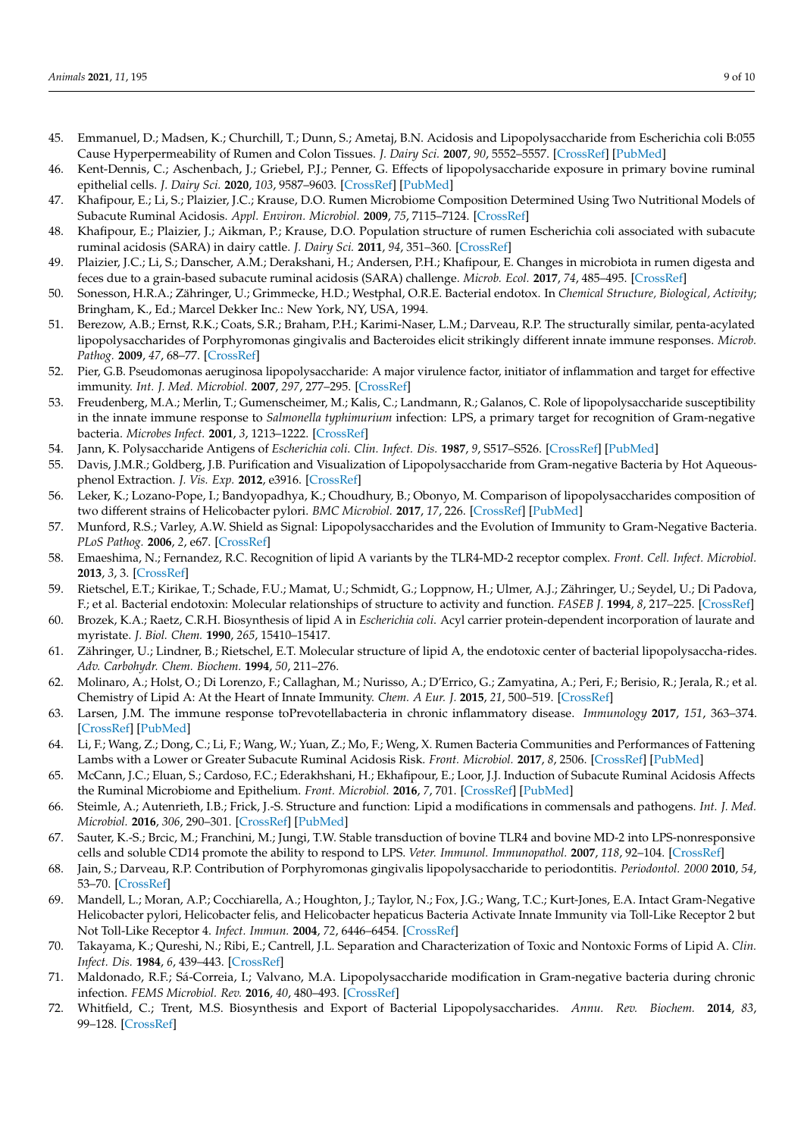- <span id="page-8-0"></span>45. Emmanuel, D.; Madsen, K.; Churchill, T.; Dunn, S.; Ametaj, B.N. Acidosis and Lipopolysaccharide from Escherichia coli B:055 Cause Hyperpermeability of Rumen and Colon Tissues. *J. Dairy Sci.* **2007**, *90*, 5552–5557. [\[CrossRef\]](http://doi.org/10.3168/jds.2007-0257) [\[PubMed\]](http://www.ncbi.nlm.nih.gov/pubmed/18024746)
- <span id="page-8-1"></span>46. Kent-Dennis, C.; Aschenbach, J.; Griebel, P.J.; Penner, G. Effects of lipopolysaccharide exposure in primary bovine ruminal epithelial cells. *J. Dairy Sci.* **2020**, *103*, 9587–9603. [\[CrossRef\]](http://doi.org/10.3168/jds.2020-18652) [\[PubMed\]](http://www.ncbi.nlm.nih.gov/pubmed/32747102)
- <span id="page-8-2"></span>47. Khafipour, E.; Li, S.; Plaizier, J.C.; Krause, D.O. Rumen Microbiome Composition Determined Using Two Nutritional Models of Subacute Ruminal Acidosis. *Appl. Environ. Microbiol.* **2009**, *75*, 7115–7124. [\[CrossRef\]](http://doi.org/10.1128/AEM.00739-09)
- <span id="page-8-3"></span>48. Khafipour, E.; Plaizier, J.; Aikman, P.; Krause, D.O. Population structure of rumen Escherichia coli associated with subacute ruminal acidosis (SARA) in dairy cattle. *J. Dairy Sci.* **2011**, *94*, 351–360. [\[CrossRef\]](http://doi.org/10.3168/jds.2010-3435)
- <span id="page-8-4"></span>49. Plaizier, J.C.; Li, S.; Danscher, A.M.; Derakshani, H.; Andersen, P.H.; Khafipour, E. Changes in microbiota in rumen digesta and feces due to a grain-based subacute ruminal acidosis (SARA) challenge. *Microb. Ecol.* **2017**, *74*, 485–495. [\[CrossRef\]](http://doi.org/10.1007/s00248-017-0940-z)
- <span id="page-8-5"></span>50. Sonesson, H.R.A.; Zähringer, U.; Grimmecke, H.D.; Westphal, O.R.E. Bacterial endotox. In *Chemical Structure, Biological, Activity*; Bringham, K., Ed.; Marcel Dekker Inc.: New York, NY, USA, 1994.
- <span id="page-8-6"></span>51. Berezow, A.B.; Ernst, R.K.; Coats, S.R.; Braham, P.H.; Karimi-Naser, L.M.; Darveau, R.P. The structurally similar, penta-acylated lipopolysaccharides of Porphyromonas gingivalis and Bacteroides elicit strikingly different innate immune responses. *Microb. Pathog.* **2009**, *47*, 68–77. [\[CrossRef\]](http://doi.org/10.1016/j.micpath.2009.04.015)
- <span id="page-8-7"></span>52. Pier, G.B. Pseudomonas aeruginosa lipopolysaccharide: A major virulence factor, initiator of inflammation and target for effective immunity. *Int. J. Med. Microbiol.* **2007**, *297*, 277–295. [\[CrossRef\]](http://doi.org/10.1016/j.ijmm.2007.03.012)
- 53. Freudenberg, M.A.; Merlin, T.; Gumenscheimer, M.; Kalis, C.; Landmann, R.; Galanos, C. Role of lipopolysaccharide susceptibility in the innate immune response to *Salmonella typhimurium* infection: LPS, a primary target for recognition of Gram-negative bacteria. *Microbes Infect.* **2001**, *3*, 1213–1222. [\[CrossRef\]](http://doi.org/10.1016/S1286-4579(01)01481-2)
- <span id="page-8-8"></span>54. Jann, K. Polysaccharide Antigens of *Escherichia coli*. *Clin. Infect. Dis.* **1987**, *9*, S517–S526. [\[CrossRef\]](http://doi.org/10.1093/clinids/9.Supplement_5.S517) [\[PubMed\]](http://www.ncbi.nlm.nih.gov/pubmed/2446369)
- <span id="page-8-9"></span>55. Davis, J.M.R.; Goldberg, J.B. Purification and Visualization of Lipopolysaccharide from Gram-negative Bacteria by Hot Aqueousphenol Extraction. *J. Vis. Exp.* **2012**, e3916. [\[CrossRef\]](http://doi.org/10.3791/3916)
- <span id="page-8-10"></span>56. Leker, K.; Lozano-Pope, I.; Bandyopadhya, K.; Choudhury, B.; Obonyo, M. Comparison of lipopolysaccharides composition of two different strains of Helicobacter pylori. *BMC Microbiol.* **2017**, *17*, 226. [\[CrossRef\]](http://doi.org/10.1186/s12866-017-1135-y) [\[PubMed\]](http://www.ncbi.nlm.nih.gov/pubmed/29202699)
- <span id="page-8-11"></span>57. Munford, R.S.; Varley, A.W. Shield as Signal: Lipopolysaccharides and the Evolution of Immunity to Gram-Negative Bacteria. *PLoS Pathog.* **2006**, *2*, e67. [\[CrossRef\]](http://doi.org/10.1371/journal.ppat.0020067)
- <span id="page-8-12"></span>58. Emaeshima, N.; Fernandez, R.C. Recognition of lipid A variants by the TLR4-MD-2 receptor complex. *Front. Cell. Infect. Microbiol.* **2013**, *3*, 3. [\[CrossRef\]](http://doi.org/10.3389/fcimb.2013.00003)
- <span id="page-8-13"></span>59. Rietschel, E.T.; Kirikae, T.; Schade, F.U.; Mamat, U.; Schmidt, G.; Loppnow, H.; Ulmer, A.J.; Zähringer, U.; Seydel, U.; Di Padova, F.; et al. Bacterial endotoxin: Molecular relationships of structure to activity and function. *FASEB J.* **1994**, *8*, 217–225. [\[CrossRef\]](http://doi.org/10.1096/fasebj.8.2.8119492)
- <span id="page-8-14"></span>60. Brozek, K.A.; Raetz, C.R.H. Biosynthesis of lipid A in *Escherichia coli*. Acyl carrier protein-dependent incorporation of laurate and myristate. *J. Biol. Chem.* **1990**, *265*, 15410–15417.
- <span id="page-8-15"></span>61. Zähringer, U.; Lindner, B.; Rietschel, E.T. Molecular structure of lipid A, the endotoxic center of bacterial lipopolysaccha-rides. *Adv. Carbohydr. Chem. Biochem.* **1994**, *50*, 211–276.
- <span id="page-8-16"></span>62. Molinaro, A.; Holst, O.; Di Lorenzo, F.; Callaghan, M.; Nurisso, A.; D'Errico, G.; Zamyatina, A.; Peri, F.; Berisio, R.; Jerala, R.; et al. Chemistry of Lipid A: At the Heart of Innate Immunity. *Chem. A Eur. J.* **2015**, *21*, 500–519. [\[CrossRef\]](http://doi.org/10.1002/chem.201403923)
- <span id="page-8-17"></span>63. Larsen, J.M. The immune response toPrevotellabacteria in chronic inflammatory disease. *Immunology* **2017**, *151*, 363–374. [\[CrossRef\]](http://doi.org/10.1111/imm.12760) [\[PubMed\]](http://www.ncbi.nlm.nih.gov/pubmed/28542929)
- <span id="page-8-18"></span>64. Li, F.; Wang, Z.; Dong, C.; Li, F.; Wang, W.; Yuan, Z.; Mo, F.; Weng, X. Rumen Bacteria Communities and Performances of Fattening Lambs with a Lower or Greater Subacute Ruminal Acidosis Risk. *Front. Microbiol.* **2017**, *8*, 2506. [\[CrossRef\]](http://doi.org/10.3389/fmicb.2017.02506) [\[PubMed\]](http://www.ncbi.nlm.nih.gov/pubmed/29312208)
- <span id="page-8-19"></span>65. McCann, J.C.; Eluan, S.; Cardoso, F.C.; Ederakhshani, H.; Ekhafipour, E.; Loor, J.J. Induction of Subacute Ruminal Acidosis Affects the Ruminal Microbiome and Epithelium. *Front. Microbiol.* **2016**, *7*, 701. [\[CrossRef\]](http://doi.org/10.3389/fmicb.2016.00701) [\[PubMed\]](http://www.ncbi.nlm.nih.gov/pubmed/27242724)
- <span id="page-8-20"></span>66. Steimle, A.; Autenrieth, I.B.; Frick, J.-S. Structure and function: Lipid a modifications in commensals and pathogens. *Int. J. Med. Microbiol.* **2016**, *306*, 290–301. [\[CrossRef\]](http://doi.org/10.1016/j.ijmm.2016.03.001) [\[PubMed\]](http://www.ncbi.nlm.nih.gov/pubmed/27009633)
- <span id="page-8-21"></span>67. Sauter, K.-S.; Brcic, M.; Franchini, M.; Jungi, T.W. Stable transduction of bovine TLR4 and bovine MD-2 into LPS-nonresponsive cells and soluble CD14 promote the ability to respond to LPS. *Veter. Immunol. Immunopathol.* **2007**, *118*, 92–104. [\[CrossRef\]](http://doi.org/10.1016/j.vetimm.2007.04.017)
- <span id="page-8-22"></span>68. Jain, S.; Darveau, R.P. Contribution of Porphyromonas gingivalis lipopolysaccharide to periodontitis. *Periodontol. 2000* **2010**, *54*, 53–70. [\[CrossRef\]](http://doi.org/10.1111/j.1600-0757.2009.00333.x)
- <span id="page-8-23"></span>69. Mandell, L.; Moran, A.P.; Cocchiarella, A.; Houghton, J.; Taylor, N.; Fox, J.G.; Wang, T.C.; Kurt-Jones, E.A. Intact Gram-Negative Helicobacter pylori, Helicobacter felis, and Helicobacter hepaticus Bacteria Activate Innate Immunity via Toll-Like Receptor 2 but Not Toll-Like Receptor 4. *Infect. Immun.* **2004**, *72*, 6446–6454. [\[CrossRef\]](http://doi.org/10.1128/iai.72.11.6446-6454.2004)
- <span id="page-8-24"></span>70. Takayama, K.; Qureshi, N.; Ribi, E.; Cantrell, J.L. Separation and Characterization of Toxic and Nontoxic Forms of Lipid A. *Clin. Infect. Dis.* **1984**, *6*, 439–443. [\[CrossRef\]](http://doi.org/10.1093/clinids/6.4.439)
- <span id="page-8-25"></span>71. Maldonado, R.F.; Sá-Correia, I.; Valvano, M.A. Lipopolysaccharide modification in Gram-negative bacteria during chronic infection. *FEMS Microbiol. Rev.* **2016**, *40*, 480–493. [\[CrossRef\]](http://doi.org/10.1093/femsre/fuw007)
- <span id="page-8-26"></span>72. Whitfield, C.; Trent, M.S. Biosynthesis and Export of Bacterial Lipopolysaccharides. *Annu. Rev. Biochem.* **2014**, *83*, 99–128. [\[CrossRef\]](http://doi.org/10.1146/annurev-biochem-060713-035600)